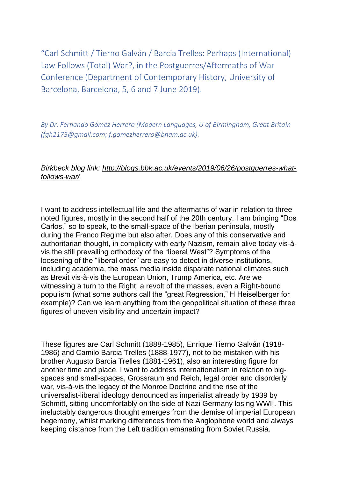"Carl Schmitt / Tierno Galván / Barcia Trelles: Perhaps (International) Law Follows (Total) War?, in the Postguerres/Aftermaths of War Conference (Department of Contemporary History, University of Barcelona, Barcelona, 5, 6 and 7 June 2019).

*By Dr. Fernando Gómez Herrero (Modern Languages, U of Birmingham, Great Britain (fgh2173@gmail.com; f.gomezherrero@bham.ac.uk).*

## *Birkbeck blog link: http://blogs.bbk.ac.uk/events/2019/06/26/postguerres-whatfollows-war/*

I want to address intellectual life and the aftermaths of war in relation to three noted figures, mostly in the second half of the 20th century. I am bringing "Dos Carlos," so to speak, to the small-space of the Iberian peninsula, mostly during the Franco Regime but also after. Does any of this conservative and authoritarian thought, in complicity with early Nazism, remain alive today vis-àvis the still prevailing orthodoxy of the "liberal West"? Symptoms of the loosening of the "liberal order" are easy to detect in diverse institutions, including academia, the mass media inside disparate national climates such as Brexit vis-à-vis the European Union, Trump America, etc. Are we witnessing a turn to the Right, a revolt of the masses, even a Right-bound populism (what some authors call the "great Regression," H Heiselberger for example)? Can we learn anything from the geopolitical situation of these three figures of uneven visibility and uncertain impact?

These figures are Carl Schmitt (1888-1985), Enrique Tierno Galván (1918- 1986) and Camilo Barcia Trelles (1888-1977), not to be mistaken with his brother Augusto Barcia Trelles (1881-1961), also an interesting figure for another time and place. I want to address internationalism in relation to bigspaces and small-spaces, Grossraum and Reich, legal order and disorderly war, vis-à-vis the legacy of the Monroe Doctrine and the rise of the universalist-liberal ideology denounced as imperialist already by 1939 by Schmitt, sitting uncomfortably on the side of Nazi Germany losing WWII. This ineluctably dangerous thought emerges from the demise of imperial European hegemony, whilst marking differences from the Anglophone world and always keeping distance from the Left tradition emanating from Soviet Russia.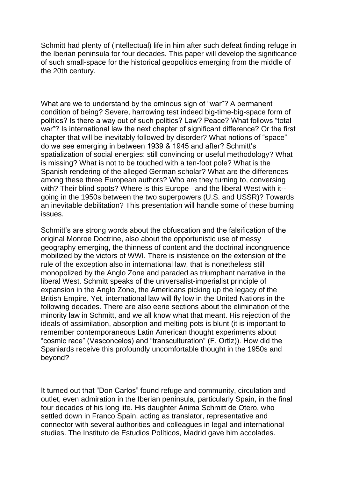Schmitt had plenty of (intellectual) life in him after such defeat finding refuge in the Iberian peninsula for four decades. This paper will develop the significance of such small-space for the historical geopolitics emerging from the middle of the 20th century.

What are we to understand by the ominous sign of "war"? A permanent condition of being? Severe, harrowing test indeed big-time-big-space form of politics? Is there a way out of such politics? Law? Peace? What follows "total war"? Is international law the next chapter of significant difference? Or the first chapter that will be inevitably followed by disorder? What notions of "space" do we see emerging in between 1939 & 1945 and after? Schmitt's spatialization of social energies: still convincing or useful methodology? What is missing? What is not to be touched with a ten-foot pole? What is the Spanish rendering of the alleged German scholar? What are the differences among these three European authors? Who are they turning to, conversing with? Their blind spots? Where is this Europe –and the liberal West with it- going in the 1950s between the two superpowers (U.S. and USSR)? Towards an inevitable debilitation? This presentation will handle some of these burning issues.

Schmitt's are strong words about the obfuscation and the falsification of the original Monroe Doctrine, also about the opportunistic use of messy geography emerging, the thinness of content and the doctrinal incongruence mobilized by the victors of WWI. There is insistence on the extension of the rule of the exception also in international law, that is nonetheless still monopolized by the Anglo Zone and paraded as triumphant narrative in the liberal West. Schmitt speaks of the universalist-imperialist principle of expansion in the Anglo Zone, the Americans picking up the legacy of the British Empire. Yet, international law will fly low in the United Nations in the following decades. There are also eerie sections about the elimination of the minority law in Schmitt, and we all know what that meant. His rejection of the ideals of assimilation, absorption and melting pots is blunt (it is important to remember contemporaneous Latin American thought experiments about "cosmic race" (Vasconcelos) and "transculturation" (F. Ortiz)). How did the Spaniards receive this profoundly uncomfortable thought in the 1950s and beyond?

It turned out that "Don Carlos" found refuge and community, circulation and outlet, even admiration in the Iberian peninsula, particularly Spain, in the final four decades of his long life. His daughter Anima Schmitt de Otero, who settled down in Franco Spain, acting as translator, representative and connector with several authorities and colleagues in legal and international studies. The Instituto de Estudios Políticos, Madrid gave him accolades.